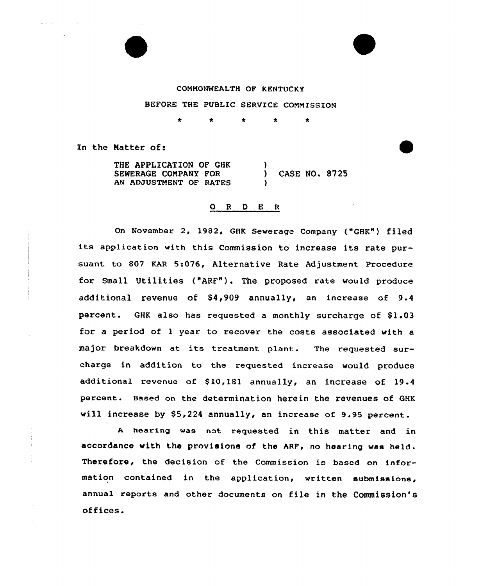# CONNONWEALTH OF KENTUCKY

BEFORE THE PUBLIC SERVICE CONNISSION

 $\star$ 

In the Matter of:

THE APPLICATION OF GHK SEWERAGE CONPANY FOR AN ADJUSTNENT OF RATES ) ) CASE NO. 8725 )

## ORDER

On November 2, 1982, GHK Sewerage Company ("GHK") filed its application with this Commission to increase its rate pursuant to 807 KAR 5:076, Alternative Rate Adjustment Procedure for Small Utilities ("ARF"). The proposed rate would produce additional revenue of  $$4,909$  annually, an increase of  $9.4$ percent. GHK also has requested a monthly surcharge of \$1.03 for a period of 1 year to recover the costs associated with a major breakdown at its treatment plant. The requested surcharge in addition to the requested increase would produce additional revenue of \$10,181 annually, an increase of 19.4 percent. Based on the determination herein the revenues of GHK will increase by \$5,224 annually, an increase of 9.95 percent.

<sup>A</sup> hearing was not requested in this matter and in accordance with the provisions of the ARF, no hearing was held. Therefore, the decision of the Commission is based on information contained in the application, written submissions, annual reports and other documents on file in the Commission's offices.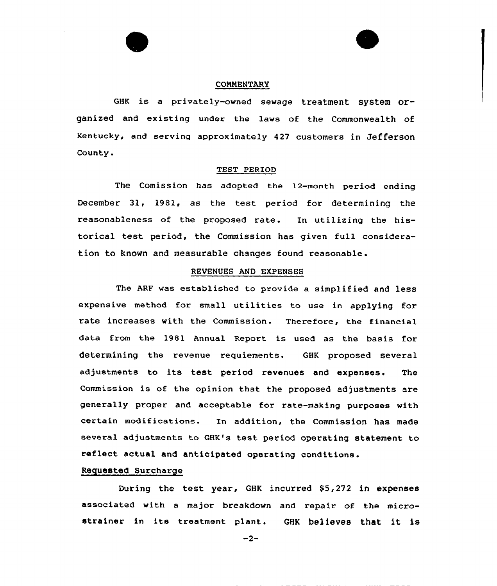#### COMMENTARY

GHK is a privately-owned sewage treatment system organized and existing under the laws of the Commonwealth of Kentucky, and serving approximately 427 customers in Jefferson County.

#### TEST PERIOD

The Comission has adopted the 12-month period ending December 3l, 1981, as the test period for determining the reasonableness of the proposed rate. In utilizing the historical test period, the Commission has given full consideration to known and measurable changes found reasonable.

#### REVENUES AND EXPENSES

The ARF was established to provide a simplified and less expensive method for small utilities to use in applying for rate increases with the Commission. Therefore, the financial data from the 1981 Annual Report is used as the basis for determining the revenue requiements. GHK proposed several adjustments to its test period revenues and expenses. The Commission is of the opinion that the proposed adjustments are generally proper and acceptable for rate-making purposes with certain modifications. In addition, the Commission has made several adjustments to GHK's test period operating statement to reflect actual and anticipated operating conditions.

## Requested Surcharge

During the test year, GHK incurred \$5,272 in expenses associated with a major breakdown and repair of the microstrainer in its treatment plant. GHK believes that it is

 $-2-$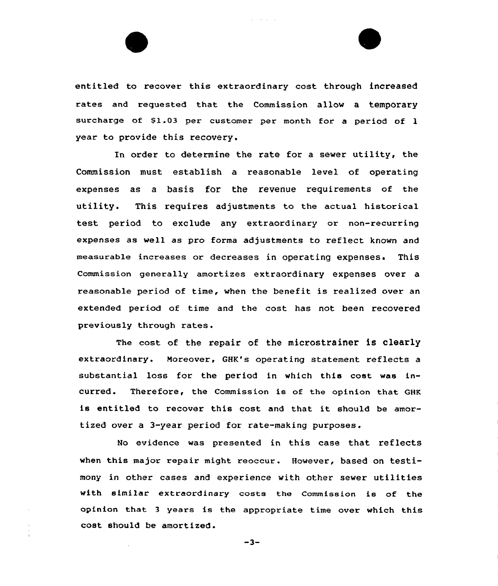entitled to recover this extraordinary cost through increased rates and requested that the Commission allow a temporary surcharge of 81.03 per customer per month for <sup>a</sup> period of 1 year to provide this recovery.

In order to determine the rate for <sup>a</sup> sewer utility, the Commission must establish a reasonable level of operating expenses as a basis for the revenue requirements of the utility. This requires adjustments to the actual historical test period to exclude any extraordinary or non-recurring expenses as we11 as pro forma adjustments to reflect known and measurable increases or decreases in operating expenses. This Commission generally amortizes extraordinary expenses over a reasonable period of time, when the benefit is realized over an extended period of time and the cost has not been recovered previously through rates.

The cost of the repair of the microstrainer is clearly extraordinary. Moreover, GHK's operating statement reflects a substantial loss for the period in which this cost was incurred. Therefore, the Commission is of the opinion that GHK is entitled to recover this cost and that it should be amortized over a 3-year period for rate-making purposes.

No evidence was presented in this case that reflects when this major repair might reoccur. However, based on testimony in other cases and experience with other sewer utilities with similar extraordinary costs the Commission is of the opinion that <sup>3</sup> years is the appropriate time over which this cost should be amortized.

 $-3-$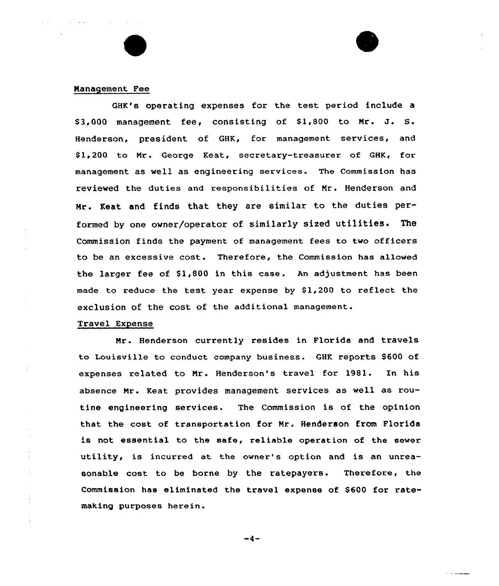## Management Fee

GHK's operating expenses for the test. period include a  $$3,000$  management fee, consisting of  $$1,800$  to Mr. J. S. Henderson, president of GHK, for management services, and \$ 1,200 to Nr. George Keat, secretary-treasurer of GHK, for management as well as engineering services. The Commission has reviewed the duties and responsibilities of Nr. Henderson and Mr. Keat and finds that they are similar to the duties performed by one owner/operator of similarly sized utilities. The Commission finds the payment of management fees to two officers to be an excessive cost. Therefore, the Commission has allowed the larger fee of  $$1,800$  in this case. An adjustment has been made to reduce the test year expense by \$1,200 to reflect the exclusion of the cost of the additional management.

#### Travel Expense

Mr. Henderson currently resides in Florida and travels to Louisville to conduct company business. GHK reports \$600 of expenses related to Nr. Henderson's travel for 1981. In his absence Mr. Keat provides management services as well as routine engineering services. The Commission is of the opinion that the cost of transportation for Nr. Henderson from Florida is not essential to the safe, reliable operation of the sewer utility, is incurred at the owner's option and is an unreasonable cost to be borne by the ratepayers. Therefore, the Commission has eliminated the travel expense of \$600 for ratemaking purposes herein.

 $-4-$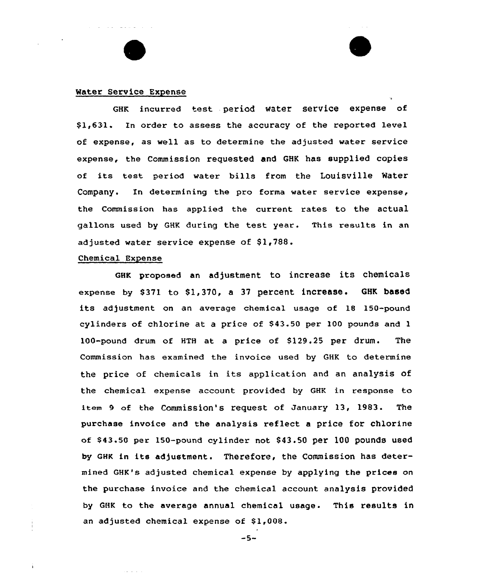#### Mater Service Expense

GHK incurred test period water service expense of \$ 1,631. In order to assess the accuracy of the reported level of expense, as well as to determine the adjusted water service expense, the Commission requested and GHK has supplied copies of its test period water bills from the Louisville Water Company. In determining the pro forma water service expense, the Commission has applied the current rates to the actual gallons used by GHK during the test year. This results in an adjusted water service expense of  $$1,788$ .

#### Chemical Expense

والفائق فالأ

GHK proposed an adjustment to increase its chemicals expense by \$371 to \$1,370, a 37 percent increase. GHK based its adjustment on an average chemical usage of 18 150-pound cylinders of chlorine at a price of \$43.50 per 100 pounds and 1 100-pound drum of HTH at a price of 8129.25 per drum. The Commission has examined the invoice used by GHK to determine the price of chemicals in its application and an analysis of the chemical expense account provided by GHK in response to item 9 of the Commission's request of January 13, 1983. The purchase invoice and the analysis reflect a price for chlorine of 843.50 per 150-pound cylinder not \$ 43.50 per 100 pounds used by GHK in its adjustment. Therefore, the Commission has determined GHK's adjusted chemical expense by applying the prices on the purchase invoice and the chemical account analysis provided by GHK to the average annual chemical usage. This results in an adjusted chemical expense of \$1,008.

 $-5-$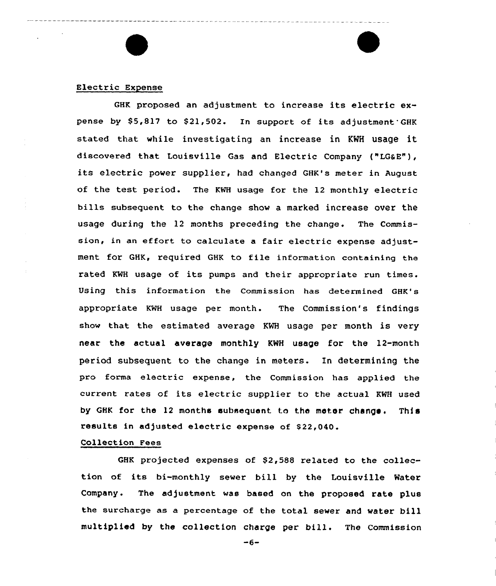#### Electric Expense

GHK proposed an adjustment to increase its electric expense by \$5,817 to \$21,502. In support of its adjustment GHK stated that while investigating an increase in KWH usage it discovered that Louisville Gas and Electric Company ("LG&E"), its electric power supplier, had changed GHK's meter in August of the test period. The KNH usage for the 12 monthly electric bills subsequent to the change show a marked increase over the usage during the 12 months preceding the change. The Commission, in an effort to calculate <sup>a</sup> fair electric expense adjustment for GHK, required GHK to file information containing the rated KNH usage of its pumps and their appropriate run times. Using this information the Commission has determined GHK's appropriate KWH usage per month. The Commission's findings show that the estimated average KWH usage per month is very near the actual average monthly KMH usage for the 12-month period subsequent to the change in meters. In determining the pro forma electric expense, the Commission has applied the current rates of its electric supplier to the actual KWH used by GHK for the 12 months subsequent to the meter change. This results in adjusted electric expense of \$22,040.

## Collection Fees

GHK projected expenses of \$2,588 related to the collection of its bi-monthly sewer bill by the Louisville Water Company. The adjustment was based on the proposed rate plus the surcharge as a pexcentage of the total sewer and water bill multiplied by the collection charge per bill. The Commission

 $-6-$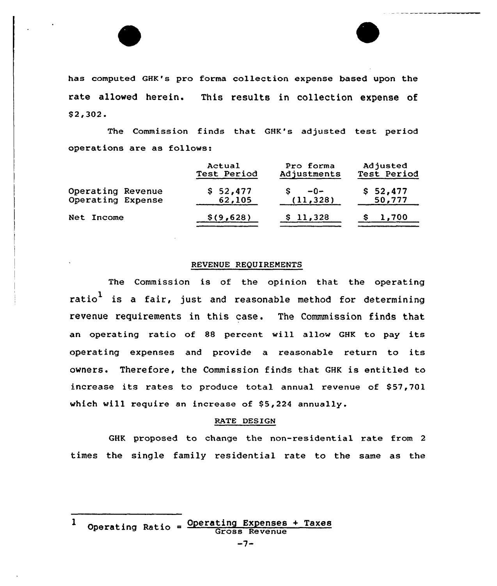has computed GHK's pro forma collection expense based upon the rate allowed herein. This results in collection expense of \$ 2,302.

The Commission finds that GHK's adjusted test period operations are as follows:

|                   | Actual      | Pro forma   | Adjusted    |
|-------------------|-------------|-------------|-------------|
|                   | Test Period | Adjustments | Test Period |
| Operating Revenue | \$52,477    | $-0-$       | \$52,477    |
| Operating Expense | 62,105      | (11, 328)   | 50,777      |
| Net Income        | \$(9,628)   | \$11,328    | 1,700       |

## REVENUE REQUIREMENTS

The Commission is of the opinion that the operating ratio<sup>1</sup> is a fair, just and reasonable method for determining revenue requirements in this case. The Commmission finds that an operating ratio of 88 percent will allow GHK to pay its operating expenses and provide a reasonable return to its owners. Therefore, the Commission finds that GHK is entitled to increase its rates to produce total annual revenue of \$57,701 which will require an increase of  $$5,224$  annually.

## RATE DESIGN

GHK proposed to change the non-residential rate from <sup>2</sup> times the single family residential rate to the same as the

Operating Ratio =  $\frac{\text{Operating Expenses}}{\text{Expenses}}$  $\mathbf{1}$ Gross Revenue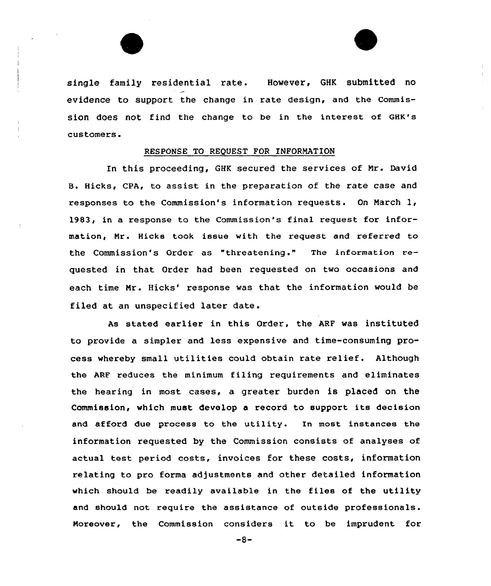

single family residential rate. However, GHK submitted no evidence to support the change in rate design, and the Commission does not find the change to be in the interest of GHK's customers.

## RESPONSE TO REQUEST FOR INFORMATION

In this proceeding, GHK secured the services of Nr. David B. Hicks, CPA, to assist in the preparation of the rate case and responses to the Commission's information requests. On March 1, 1983, in a response to the Commission's final request for information, Nr. Hicks took issue with the request and referred to the Commission's Order as "threatening ." The information requested in that Order had been requested on two occasions and each time Mr. Hicks' response was that the information would be filed at an unspecified later date.

As stated earlier in this Order, the ARF was instituted to provide a simpler and less expensive and time-consuming process whereby small utilities could obtain rate relief. Although the ARF reduces the minimum filing requirements and eliminates the hearing in most cases, a greater burden is placed on the Commission, which must develop a record to support its decision and afford due process to the utility. In most instances the information requested by the Commission consists of analyses of actual test period costs, invoices for these costs, information relating to pro forma adjustments and other detailed information which should be readily available in the files of the utility and should not reqUire the assistance of outside professionals. Moreover, the Commission considers it to be imprudent for

 $-8-$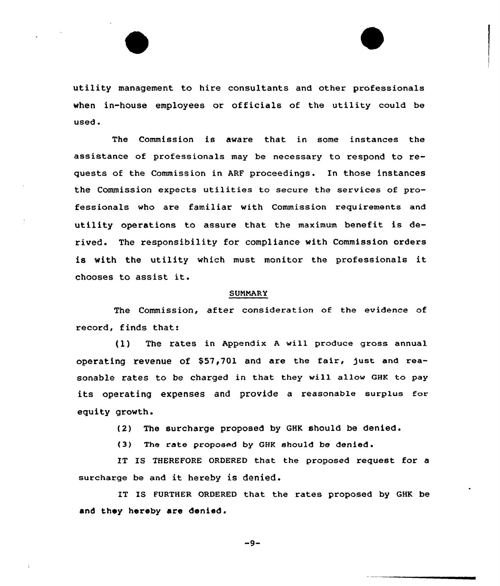utility management to hire consultants and other professionals when in-house employees or officials of the utility could be used.

The Commission is aware that in some instances the assistance of professionals may be necessary to respond to requests of the Commission in ARF proceedings. In those instances the Commission expects utilities to secure the services of professionals who are familiar with Commission requirements and utility operations to assure that the maximum benefit is derived. The responsibility for compliance with Commission orders is with the utility which must monitor the professionals it chooses to assist it.

#### SUNNARY

The Commission, after consideration of the evidence of record, finds that:

(1) The rates in Appendix <sup>A</sup> will produce gross annual operating revenue of \$57,701 and are the fair, just and reasonable rates to be charged in that they will allow GHK to pay its operating expenses and provide <sup>a</sup> reasonable surplus for equity growth.

{2) The surcharge proposed by QHK should be denied.

{3) The rate proposed by GHK should be denied .

IT IS THEREFORE ORDERED that the proposed request for a surcharge be and it hereby is denied.

IT IS FURTHER ORDERED that the rates proposed by GHK be and they hereby are denied.

 $-9-$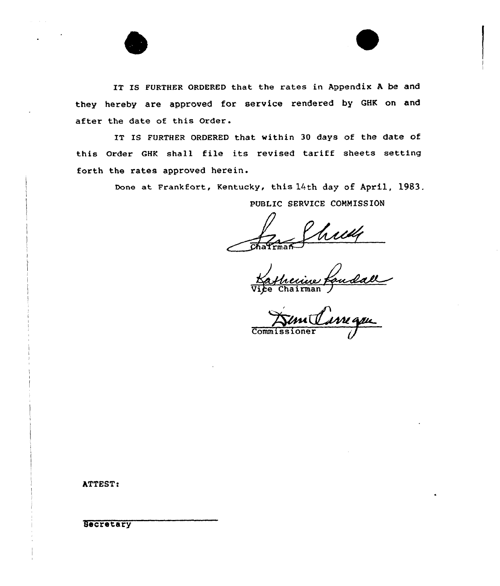IT IS FURTHER ORDERED that the rates in Appendix A be and they hereby are approved for service rendered by GHK on and after the date of this Order.

IT IS FURTHER ORDERED that within 30 days of the date of this Order GHK shall file its revised tariff sheets setting forth the rates approved herein.

Done at Frankfort, Kentucky, this 14th day of April, 1983.

PUBLIC SERVICE COMMISSION

 $\frac{1}{\text{max}}$ 

eciue<br>airmar Nafricance Pe

 $\overline{\text{Comm}}$ 

ATTEST!

**Secretary**